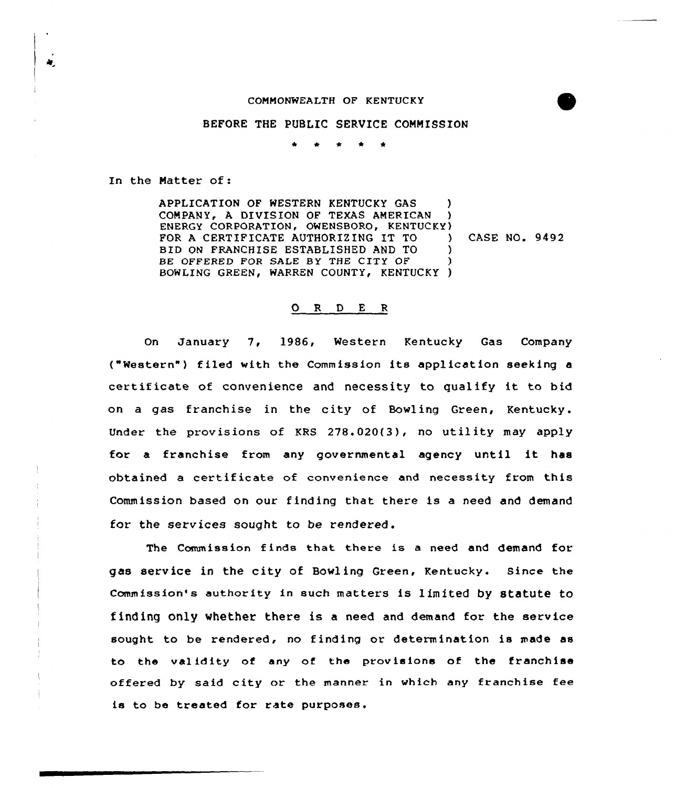## CONNONWEALTH OF KENTUCKY

## BEFORE THE PUBLIC SERVICE COMMISSION

\* \* \* \* \*

In the Natter of:

APPLICATION OF WESTERN KENTUCKY GAS COMPANY, A DIVISION OF TEXAS AMERICAN ENERGY CORPORATION, OWENSBORO, KENTUCKY) FOR A CERTIFICATE AUTHORIZING IT TO  $\qquad$ BXD ON FRANCHISE ESTABLISHED AND TO ) BE OFFERED FOR SALE BY THE CITY OF BOWLING GREEN, WARREN COUNTY, KENTUCKY ) CASE NO. 9492

## 0 <sup>R</sup> <sup>D</sup> <sup>E</sup> <sup>R</sup>

On January 7, 1986, Western Kentucky Gas Company {"Western" ) filed with the Commission its application seeking <sup>a</sup> certif icate of convenience and necessity to qualify it to bid on a gas franchise in the city of Bowling Green, Kentucky. Under the provisions of KRS 278.020{3), no utility may apply for <sup>a</sup> franchise from any governmental agency until it has obtained <sup>a</sup> certif icate of convenience and necessity from this Commission based on our finding that there is a need and demand for the services sought to be rendered.

The Commission finds that there is a need and demand for gas service in the city of Bowling Green, Kentucky. Since the commission's authority in such matters is limited by statute to finding Only whether there is a need and demand for the service sought to be rendered, no finding or determination is made as to the validity of any of the provisions of the franchise offered by said city or the manner in which any franchise fee is to be treated for rate purposes.